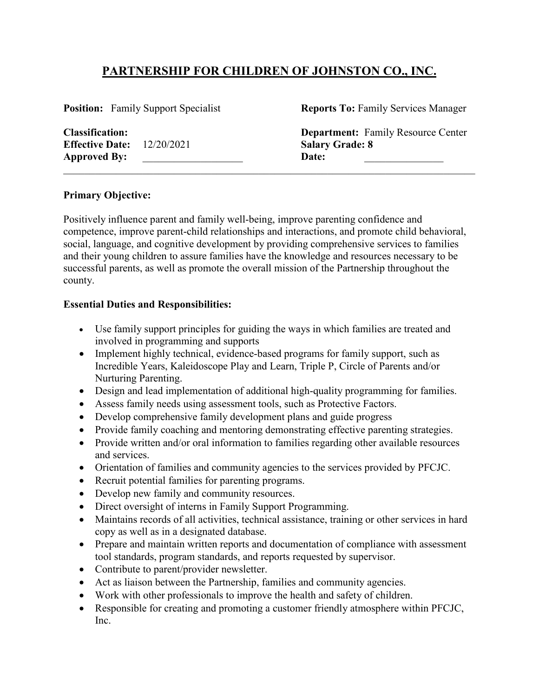# **PARTNERSHIP FOR CHILDREN OF JOHNSTON CO., INC.**

**Effective Date:** 12/20/2021 **Salary Grade: 8** Approved By: **Date:** 

**Position:** Family Support Specialist **Reports To:** Family Services Manager

**Classification: Department:** Family Resource Center

#### **Primary Objective:**

Positively influence parent and family well-being, improve parenting confidence and competence, improve parent-child relationships and interactions, and promote child behavioral, social, language, and cognitive development by providing comprehensive services to families and their young children to assure families have the knowledge and resources necessary to be successful parents, as well as promote the overall mission of the Partnership throughout the county.

\_\_\_\_\_\_\_\_\_\_\_\_\_\_\_\_\_\_\_\_\_\_\_\_\_\_\_\_\_\_\_\_\_\_\_\_\_\_\_\_\_\_\_\_\_\_\_\_\_\_\_\_\_\_\_\_\_\_\_\_\_\_\_\_\_\_\_\_\_\_\_\_\_\_\_\_\_\_

#### **Essential Duties and Responsibilities:**

- Use family support principles for guiding the ways in which families are treated and involved in programming and supports
- Implement highly technical, evidence-based programs for family support, such as Incredible Years, Kaleidoscope Play and Learn, Triple P, Circle of Parents and/or Nurturing Parenting.
- Design and lead implementation of additional high-quality programming for families.
- Assess family needs using assessment tools, such as Protective Factors.
- Develop comprehensive family development plans and guide progress
- Provide family coaching and mentoring demonstrating effective parenting strategies.
- Provide written and/or oral information to families regarding other available resources and services.
- Orientation of families and community agencies to the services provided by PFCJC.
- Recruit potential families for parenting programs.
- Develop new family and community resources.
- Direct oversight of interns in Family Support Programming.
- Maintains records of all activities, technical assistance, training or other services in hard copy as well as in a designated database.
- Prepare and maintain written reports and documentation of compliance with assessment tool standards, program standards, and reports requested by supervisor.
- Contribute to parent/provider newsletter.
- Act as liaison between the Partnership, families and community agencies.
- Work with other professionals to improve the health and safety of children.
- Responsible for creating and promoting a customer friendly atmosphere within PFCJC, Inc.